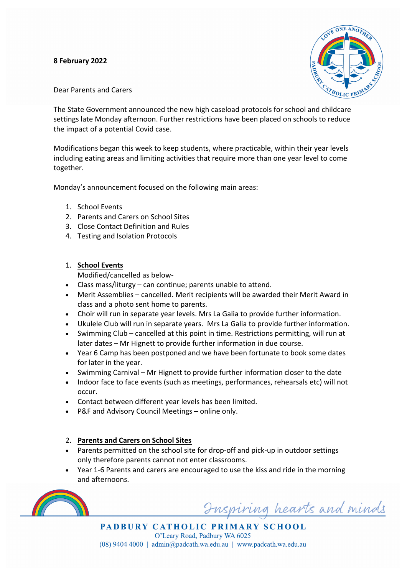### **8 February 2022**



Dear Parents and Carers

The State Government announced the new high caseload protocols for school and childcare settings late Monday afternoon. Further restrictions have been placed on schools to reduce the impact of a potential Covid case.

Modifications began this week to keep students, where practicable, within their year levels including eating areas and limiting activities that require more than one year level to come together.

Monday's announcement focused on the following main areas:

- 1. School Events
- 2. Parents and Carers on School Sites
- 3. Close Contact Definition and Rules
- 4. Testing and Isolation Protocols
- 1. **School Events**

Modified/cancelled as below-

- Class mass/liturgy can continue; parents unable to attend.
- Merit Assemblies cancelled. Merit recipients will be awarded their Merit Award in class and a photo sent home to parents.
- Choir will run in separate year levels. Mrs La Galia to provide further information.
- Ukulele Club will run in separate years. Mrs La Galia to provide further information.
- Swimming Club cancelled at this point in time. Restrictions permitting, will run at later dates – Mr Hignett to provide further information in due course.
- Year 6 Camp has been postponed and we have been fortunate to book some dates for later in the year.
- Swimming Carnival Mr Hignett to provide further information closer to the date
- Indoor face to face events (such as meetings, performances, rehearsals etc) will not occur.
- Contact between different year levels has been limited.
- P&F and Advisory Council Meetings online only.
- 2. **Parents and Carers on School Sites**
- Parents permitted on the school site for drop-off and pick-up in outdoor settings only therefore parents cannot not enter classrooms.
- Year 1-6 Parents and carers are encouraged to use the kiss and ride in the morning and afternoons.



Inspiring hearts and minds

PADBURY CATHOLIC PRIMARY SCHOOL O'Leary Road, Padbury WA 6025  $(08)$  9404 4000 | admin@padcath.wa.edu.au | www.padcath.wa.edu.au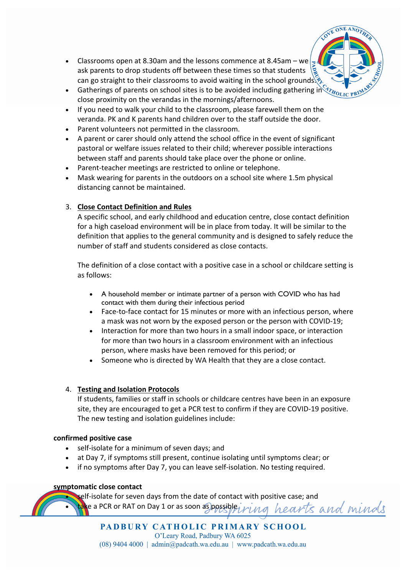- Classrooms open at 8.30am and the lessons commence at 8.45am we ask parents to drop students off between these times so that students can go straight to their classrooms to avoid waiting in the school grounds.
- Gatherings of parents on school sites is to be avoided including gathering in close proximity on the verandas in the mornings/afternoons.

**ONE ANO** 

- If you need to walk your child to the classroom, please farewell them on the veranda. PK and K parents hand children over to the staff outside the door.
- Parent volunteers not permitted in the classroom.
- A parent or carer should only attend the school office in the event of significant pastoral or welfare issues related to their child; wherever possible interactions between staff and parents should take place over the phone or online.
- Parent-teacher meetings are restricted to online or telephone.
- Mask wearing for parents in the outdoors on a school site where 1.5m physical distancing cannot be maintained.

## 3. **Close Contact Definition and Rules**

A specific school, and early childhood and education centre, close contact definition for a high caseload environment will be in place from today. It will be similar to the definition that applies to the general community and is designed to safely reduce the number of staff and students considered as close contacts.

- self-isolate for a minimum of seven days; and
- at Day 7, if symptoms still present, continue isolating until symptoms clear; or
- if no symptoms after Day 7, you can leave self-isolation. No testing required.

The definition of a close contact with a positive case in a school or childcare setting is as follows:

- A household member or intimate partner of a person with COVID who has had contact with them during their infectious period
- Face-to-face contact for 15 minutes or more with an infectious person, where a mask was not worn by the exposed person or the person with COVID-19;
- Interaction for more than two hours in a small indoor space, or interaction for more than two hours in a classroom environment with an infectious person, where masks have been removed for this period; or
- Someone who is directed by WA Health that they are a close contact.

# 4. **Testing and Isolation Protocols**

If students, families or staff in schools or childcare centres have been in an exposure site, they are encouraged to get a PCR test to confirm if they are COVID-19 positive. The new testing and isolation guidelines include:

#### **confirmed positive case**

#### **symptomatic close contact**

self-isolate for seven days from the date of contact with positive case; and

take a PCR or RAT on Day 1 or as soon as possible, hearts and minds

### PADBURY CATHOLIC PRIMARY SCHOOL O'Leary Road, Padbury WA 6025  $(08)$  9404 4000 | admin@padcath.wa.edu.au | www.padcath.wa.edu.au